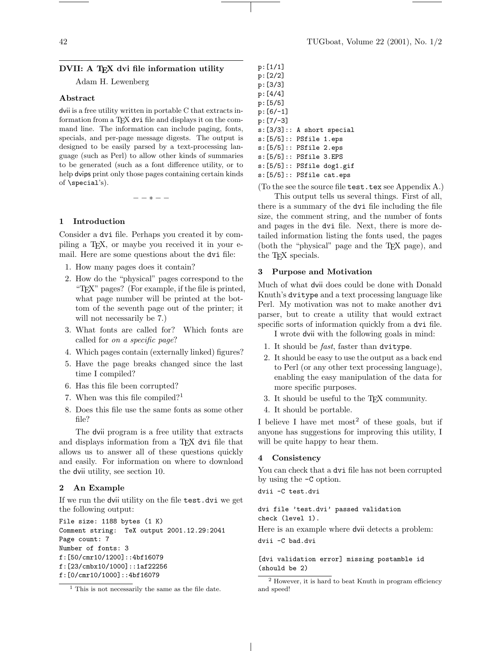## DVII: A TFX dvi file information utility

Adam H. Lewenberg

#### Abstract

dvii is a free utility written in portable C that extracts information from a T<sub>E</sub>X dvi file and displays it on the command line. The information can include paging, fonts, specials, and per-page message digests. The output is designed to be easily parsed by a text-processing language (such as Perl) to allow other kinds of summaries to be generated (such as a font difference utility, or to help dvips print only those pages containing certain kinds of \special's).

 $- * - -$ 

# 1 Introduction

Consider a dvi file. Perhaps you created it by compiling a TEX, or maybe you received it in your email. Here are some questions about the dvi file:

- 1. How many pages does it contain?
- 2. How do the "physical" pages correspond to the "TEX" pages? (For example, if the file is printed, what page number will be printed at the bottom of the seventh page out of the printer; it will not necessarily be 7.)
- 3. What fonts are called for? Which fonts are called for on a specific page?
- 4. Which pages contain (externally linked) figures?
- 5. Have the page breaks changed since the last time I compiled?
- 6. Has this file been corrupted?
- 7. When was this file compiled?<sup>1</sup>
- 8. Does this file use the same fonts as some other file?

The dvii program is a free utility that extracts and displays information from a TEX dvi file that allows us to answer all of these questions quickly and easily. For information on where to download the dvii utility, see section 10.

# 2 An Example

If we run the dvii utility on the file test.dvi we get the following output:

File size: 1188 bytes (1 K) Comment string: TeX output 2001.12.29:2041 Page count: 7 Number of fonts: 3 f:[50/cmr10/1200]::4bf16079 f:[23/cmbx10/1000]::1af22256 f:[0/cmr10/1000]::4bf16079

p:[6/-1] p:[7/-3] s:[3/3]:: A short special s:[5/5]:: PSfile 1.eps s:[5/5]:: PSfile 2.eps s:[5/5]:: PSfile 3.EPS s:[5/5]:: PSfile dog1.gif s:[5/5]:: PSfile cat.eps

(To the see the source file test.tex see Appendix A.)

This output tells us several things. First of all, there is a summary of the dvi file including the file size, the comment string, and the number of fonts and pages in the dvi file. Next, there is more detailed information listing the fonts used, the pages (both the "physical" page and the TEX page), and the T<sub>F</sub>X specials.

### 3 Purpose and Motivation

Much of what dvii does could be done with Donald Knuth's dvitype and a text processing language like Perl. My motivation was not to make another dvi parser, but to create a utility that would extract specific sorts of information quickly from a dvi file.

I wrote dvii with the following goals in mind:

- 1. It should be fast, faster than dvitype.
- 2. It should be easy to use the output as a back end to Perl (or any other text processing language), enabling the easy manipulation of the data for more specific purposes.
- 3. It should be useful to the TEX community.
- 4. It should be portable.

I believe I have met most<sup>2</sup> of these goals, but if anyone has suggestions for improving this utility, I will be quite happy to hear them.

# 4 Consistency

You can check that a dvi file has not been corrupted by using the -C option.

dvii -C test.dvi

#### dvi file 'test.dvi' passed validation check (level 1).

Here is an example where dvii detects a problem: dvii -C bad.dvi

[dvi validation error] missing postamble id (should be 2)

p:[1/1] p:[2/2] p:[3/3] p:[4/4] p:[5/5]

 $<sup>1</sup>$  This is not necessarily the same as the file date.</sup>

<sup>2</sup> However, it is hard to beat Knuth in program efficiency and speed!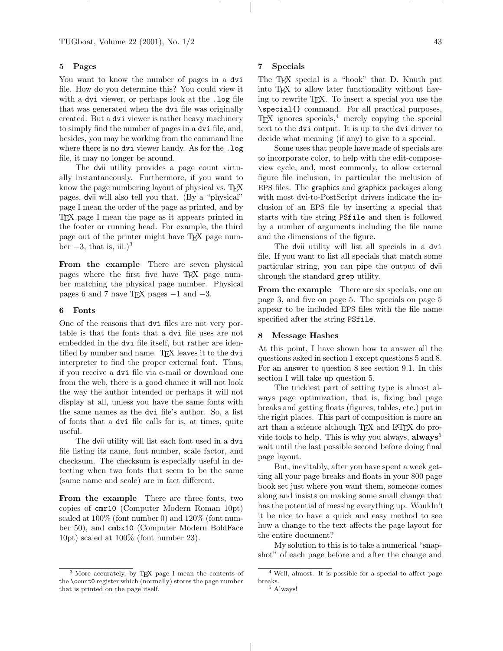TUGboat, Volume 22 (2001), No. 1/2 43

# 5 Pages

You want to know the number of pages in a dvi file. How do you determine this? You could view it with a dvi viewer, or perhaps look at the .log file that was generated when the dvi file was originally created. But a dvi viewer is rather heavy machinery to simply find the number of pages in a dvi file, and, besides, you may be working from the command line where there is no dvi viewer handy. As for the .log file, it may no longer be around.

The dvii utility provides a page count virtually instantaneously. Furthermore, if you want to know the page numbering layout of physical vs. T<sub>EX</sub> pages, dvii will also tell you that. (By a "physical" page I mean the order of the page as printed, and by TEX page I mean the page as it appears printed in the footer or running head. For example, the third page out of the printer might have TEX page number  $-3$ , that is, iii.)<sup>3</sup>

From the example There are seven physical pages where the first five have TEX page number matching the physical page number. Physical pages 6 and 7 have TEX pages  $-1$  and  $-3$ .

# 6 Fonts

One of the reasons that dvi files are not very portable is that the fonts that a dvi file uses are not embedded in the dvi file itself, but rather are identified by number and name. TEX leaves it to the dvi interpreter to find the proper external font. Thus, if you receive a dvi file via e-mail or download one from the web, there is a good chance it will not look the way the author intended or perhaps it will not display at all, unless you have the same fonts with the same names as the dvi file's author. So, a list of fonts that a dvi file calls for is, at times, quite useful.

The dvii utility will list each font used in a dvi file listing its name, font number, scale factor, and checksum. The checksum is especially useful in detecting when two fonts that seem to be the same (same name and scale) are in fact different.

From the example There are three fonts, two copies of cmr10 (Computer Modern Roman 10pt) scaled at 100% (font number 0) and 120% (font number 50), and cmbx10 (Computer Modern BoldFace 10pt) scaled at 100% (font number 23).

### 7 Specials

The T<sub>EX</sub> special is a "hook" that D. Knuth put into TEX to allow later functionality without having to rewrite TEX. To insert a special you use the \special{} command. For all practical purposes,  $TrX$  ignores specials,<sup>4</sup> merely copying the special text to the dvi output. It is up to the dvi driver to decide what meaning (if any) to give to a special.

Some uses that people have made of specials are to incorporate color, to help with the edit-composeview cycle, and, most commonly, to allow external figure file inclusion, in particular the inclusion of EPS files. The graphics and graphicx packages along with most dvi-to-PostScript drivers indicate the inclusion of an EPS file by inserting a special that starts with the string PSfile and then is followed by a number of arguments including the file name and the dimensions of the figure.

The dvii utility will list all specials in a dvi file. If you want to list all specials that match some particular string, you can pipe the output of dvii through the standard grep utility.

From the example There are six specials, one on page 3, and five on page 5. The specials on page 5 appear to be included EPS files with the file name specified after the string PSfile.

#### 8 Message Hashes

At this point, I have shown how to answer all the questions asked in section 1 except questions 5 and 8. For an answer to question 8 see section 9.1. In this section I will take up question 5.

The trickiest part of setting type is almost always page optimization, that is, fixing bad page breaks and getting floats (figures, tables, etc.) put in the right places. This part of composition is more an art than a science although TFX and LATFX do provide tools to help. This is why you always,  $always^5$ wait until the last possible second before doing final page layout.

But, inevitably, after you have spent a week getting all your page breaks and floats in your 800 page book set just where you want them, someone comes along and insists on making some small change that has the potential of messing everything up. Wouldn't it be nice to have a quick and easy method to see how a change to the text affects the page layout for the entire document?

My solution to this is to take a numerical "snapshot" of each page before and after the change and

<sup>3</sup> More accurately, by TEX page I mean the contents of the \count0 register which (normally) stores the page number that is printed on the page itself.

<sup>4</sup> Well, almost. It is possible for a special to affect page breaks.

 $^5$  Always!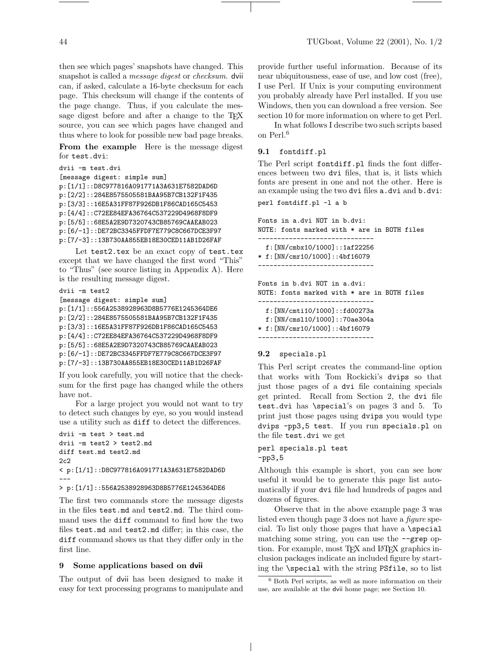then see which pages' snapshots have changed. This snapshot is called a message digest or checksum. dvii can, if asked, calculate a 16-byte checksum for each page. This checksum will change if the contents of the page change. Thus, if you calculate the message digest before and after a change to the TEX source, you can see which pages have changed and thus where to look for possible new bad page breaks.

From the example Here is the message digest for test.dvi:

```
dvii -m test.dvi
[message digest: simple sum]
p:[1/1]::D8C977816A091771A3A631E7582DAD6D
p:[2/2]::284E8575505581BAA95B7CB132F1F435
p:[3/3]::16E5A31FF87F926DB1F86CAD165C5453
p:[4/4]::C72EE84EFA36764C537229D4968F8DF9
p:[5/5]::68E5A2E9D7320743CB85769CAAEAB023
p:[6/-1]::DE72BC3345FFDF7E779C8C667DCE3F97
p:[7/-3]::13B730AA855EB18E30CED11AB1D26FAF
```
Let test2.tex be an exact copy of test.tex except that we have changed the first word "This" to "Thus" (see source listing in Appendix A). Here is the resulting message digest.

```
dvii -m test2
[message digest: simple sum]
p:[1/1]::556A2538928963D8B5776E1245364DE6
p:[2/2]::284E8575505581BAA95B7CB132F1F435
p:[3/3]::16E5A31FF87F926DB1F86CAD165C5453
p:[4/4]::C72EE84EFA36764C537229D4968F8DF9
p:[5/5]::68E5A2E9D7320743CB85769CAAEAB023
p:[6/-1]::DE72BC3345FFDF7E779C8C667DCE3F97
p:[7/-3]::13B730AA855EB18E30CED11AB1D26FAF
```
If you look carefully, you will notice that the checksum for the first page has changed while the others have not.

For a large project you would not want to try to detect such changes by eye, so you would instead use a utility such as diff to detect the differences.

```
dvii -m test > test.md
dvii -m test2 > test2.md
diff test.md test2.md
2c2
< p:[1/1]::D8C977816A091771A3A631E7582DAD6D
---
> p:[1/1]::556A2538928963D8B5776E1245364DE6
```
The first two commands store the message digests in the files test.md and test2.md. The third command uses the diff command to find how the two files test.md and test2.md differ; in this case, the diff command shows us that they differ only in the first line.

### 9 Some applications based on dvii

The output of dvii has been designed to make it easy for text processing programs to manipulate and provide further useful information. Because of its near ubiquitousness, ease of use, and low cost (free), I use Perl. If Unix is your computing environment you probably already have Perl installed. If you use Windows, then you can download a free version. See section 10 for more information on where to get Perl.

In what follows I describe two such scripts based on Perl.<sup>6</sup>

#### 9.1 fontdiff.pl

The Perl script fontdiff.pl finds the font differences between two dvi files, that is, it lists which fonts are present in one and not the other. Here is an example using the two dvi files a.dvi and b.dvi:

perl fontdiff.pl -l a b

Fonts in a.dvi NOT in b.dvi: NOTE: fonts marked with \* are in BOTH files ----------------------------- f:[NN/cmbx10/1000]::1af22256 \* f:[NN/cmr10/1000]::4bf16079 ------------------------------

Fonts in b.dvi NOT in a.dvi: NOTE: fonts marked with \* are in BOTH files ------------------------------

f:[NN/cmti10/1000]::fd00273a

```
f:[NN/cmsl10/1000]::70ae304a
```
\* f:[NN/cmr10/1000]::4bf16079

```
------------------------------
```
#### 9.2 specials.pl

This Perl script creates the command-line option that works with Tom Rockicki's dvips so that just those pages of a dvi file containing specials get printed. Recall from Section 2, the dvi file test.dvi has \special's on pages 3 and 5. To print just those pages using dvips you would type dvips -pp3,5 test. If you run specials.pl on the file test.dvi we get

### perl specials.pl test -pp3,5

Although this example is short, you can see how useful it would be to generate this page list automatically if your dvi file had hundreds of pages and dozens of figures.

Observe that in the above example page 3 was listed even though page 3 does not have a figure special. To list only those pages that have a **\special** matching some string, you can use the  $-\text{grep}$  option. For example, most T<sub>EX</sub> and L<sup>AT</sup>EX graphics inclusion packages indicate an included figure by starting the \special with the string PSfile, so to list

<sup>6</sup> Both Perl scripts, as well as more information on their use, are available at the dvii home page; see Section 10.